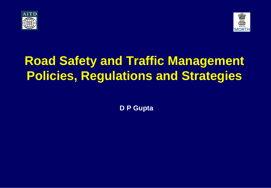



# **Road Safety and Traffic Management Policies, Regulations and Strategies**

**D P Gupta**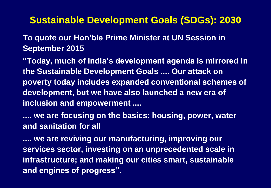#### **Sustainable Development Goals (SDGs): 2030**

#### **To quote our Hon'ble Prime Minister at UN Session in September 2015**

**"Today, much of India's development agenda is mirrored in the Sustainable Development Goals .... Our attack on poverty today includes expanded conventional schemes of development, but we have also launched a new era of inclusion and empowerment ....**

**.... we are focusing on the basics: housing, power, water and sanitation for all** 

**.... we are reviving our manufacturing, improving our services sector, investing on an unprecedented scale in infrastructure; and making our cities smart, sustainable and engines of progress".**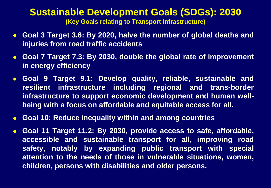#### **Sustainable Development Goals (SDGs): 2030 (Key Goals relating to Transport Infrastructure)**

- **Goal 3 Target 3.6: By 2020, halve the number of global deaths and injuries from road traffic accidents**
- **Goal 7 Target 7.3: By 2030, double the global rate of improvement in energy efficiency**
- **Goal 9 Target 9.1: Develop quality, reliable, sustainable and resilient infrastructure including regional and trans-border infrastructure to support economic development and human wellbeing with a focus on affordable and equitable access for all.**
- **Goal 10: Reduce inequality within and among countries**
- **Goal 11 Target 11.2: By 2030, provide access to safe, affordable, accessible and sustainable transport for all, improving road safety, notably by expanding public transport with special attention to the needs of those in vulnerable situations, women, children, persons with disabilities and older persons.**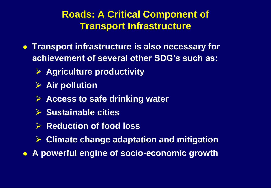#### **Roads: A Critical Component of Transport Infrastructure**

- **Transport infrastructure is also necessary for achievement of several other SDG's such as:**
	- **Agriculture productivity**
	- **Air pollution**
	- **Access to safe drinking water**
	- **Sustainable cities**
	- **▶ Reduction of food loss**
	- **Climate change adaptation and mitigation**
- **A powerful engine of socio-economic growth**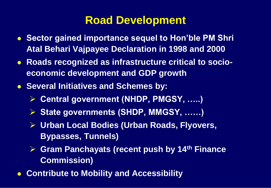### **Road Development**

- **Sector gained importance sequel to Hon'ble PM Shri Atal Behari Vajpayee Declaration in 1998 and 2000**
- **Roads recognized as infrastructure critical to socioeconomic development and GDP growth**
- **Several Initiatives and Schemes by:** 
	- **Central government (NHDP, PMGSY, …..)**
	- **State governments (SHDP, MMGSY, ……)**
	- **Urban Local Bodies (Urban Roads, Flyovers, Bypasses, Tunnels)**
	- **Gram Panchayats (recent push by 14th Finance Commission)**
- **Contribute to Mobility and Accessibility**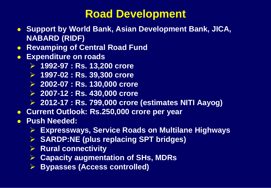### **Road Development**

- **Support by World Bank, Asian Development Bank, JICA, NABARD (RIDF)**
- **Revamping of Central Road Fund**
- **Expenditure on roads**
	- **1992-97 : Rs. 13,200 crore**
	- **1997-02 : Rs. 39,300 crore**
	- **2002-07 : Rs. 130,000 crore**
	- **2007-12 : Rs. 430,000 crore**
	- **2012-17 : Rs. 799,000 crore (estimates NITI Aayog)**
- **Current Outlook: Rs.250,000 crore per year**
- **Push Needed:**
	- **Expressways, Service Roads on Multilane Highways**
	- **SARDP:NE (plus replacing SPT bridges)**
	- **Rural connectivity**
	- **Capacity augmentation of SHs, MDRs**
	- **Bypasses (Access controlled)**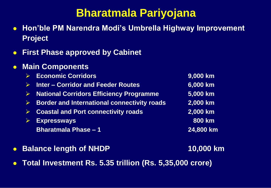#### **Bharatmala Pariyojana**

- **Hon'ble PM Narendra Modi's Umbrella Highway Improvement Project**
- **First Phase approved by Cabinet**
- **Main Components** 
	- **Economic Corridors 9,000 km Inter – Corridor and Feeder Routes 6,000 km National Corridors Efficiency Programme 5,000 km Border and International connectivity roads 2,000 km Coastal and Port connectivity roads 2,000 km Expressways 800 km Bharatmala Phase – 1 24,800 km**
- **Balance length of NHDP 10,000 km**

**Total Investment Rs. 5.35 trillion (Rs. 5,35,000 crore)**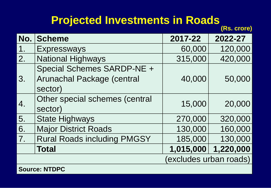## **Projected Investments in Roads**

**(Rs. crore)**

| No.                    | Scheme                             | 2017-22   | 2022-27   |  |
|------------------------|------------------------------------|-----------|-----------|--|
| 1.                     | <b>Expressways</b>                 | 60,000    | 120,000   |  |
| 2.                     | <b>National Highways</b>           | 315,000   | 420,000   |  |
| 3.                     | Special Schemes SARDP-NE +         |           |           |  |
|                        | Arunachal Package (central         | 40,000    | 50,000    |  |
|                        | sector)                            |           |           |  |
| 4.                     | Other special schemes (central     | 15,000    | 20,000    |  |
|                        | sector)                            |           |           |  |
| 5.                     | <b>State Highways</b>              | 270,000   | 320,000   |  |
| 6.                     | <b>Major District Roads</b>        | 130,000   | 160,000   |  |
| 7.                     | <b>Rural Roads including PMGSY</b> | 185,000   | 130,000   |  |
|                        | <b>Total</b>                       | 1,015,000 | 1,220,000 |  |
| (excludes urban roads) |                                    |           |           |  |
| <b>CAULON' NITODO</b>  |                                    |           |           |  |

**Source.** IN I L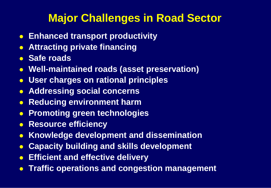## **Major Challenges in Road Sector**

- **Enhanced transport productivity**
- **Attracting private financing**
- **Safe roads**
- **Well-maintained roads (asset preservation)**
- **User charges on rational principles**
- **Addressing social concerns**
- **Reducing environment harm**
- **Promoting green technologies**
- **Resource efficiency**
- **Knowledge development and dissemination**
- **Capacity building and skills development**
- **Efficient and effective delivery**
- **Traffic operations and congestion management**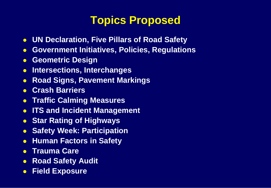## **Topics Proposed**

- **UN Declaration, Five Pillars of Road Safety**
- **Government Initiatives, Policies, Regulations**
- **Geometric Design**
- **Intersections, Interchanges**
- **Road Signs, Pavement Markings**
- **Crash Barriers**
- **Traffic Calming Measures**
- **ITS and Incident Management**
- **Star Rating of Highways**
- **Safety Week: Participation**
- **Human Factors in Safety**
- **Trauma Care**
- **Road Safety Audit**
- **Field Exposure**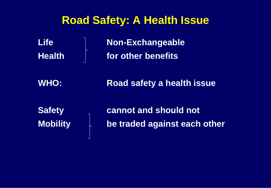#### **Road Safety: A Health Issue**

Life Non-Exchangeable **Health for other benefits**

**WHO: Road safety a health issue**

**Safety cannot and should not Mobility be traded against each other**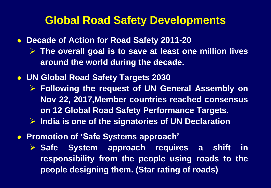#### **Global Road Safety Developments**

**Decade of Action for Road Safety 2011-20**

- **The overall goal is to save at least one million lives around the world during the decade.**
- **UN Global Road Safety Targets 2030**
	- **Following the request of UN General Assembly on Nov 22, 2017,Member countries reached consensus on 12 Global Road Safety Performance Targets. India is one of the signatories of UN Declaration**
- **Promotion of 'Safe Systems approach'**
	- **Safe System approach requires a shift in responsibility from the people using roads to the people designing them. (Star rating of roads)**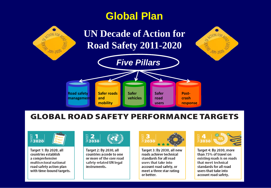#### **Global Plan**



#### **GLOBAL ROAD SAFETY PERFORMANCE TARGETS**



**Target 1: By 2020, all** countries establish a comprehensive multisectoral national road safety action plan with time-bound targets.



**Target 2: By 2030, all** countries accede to one or more of the core road safety-related UN legal instruments.



Target 3: By 2030, all new roads achieve technical standards for all road users that take into account road safety, or meet a three star rating or better.



Target 4: By 2030, more than 75% of travel on existing roads is on roads that meet technical standards for all road users that take into account road safety.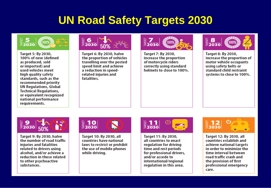### **UN Road Safety Targets 2030**



Target 5: By 2030, 100% of new (defined as produced, sold or imported) and used vehicles meet high quality safety standards, such as the recommended priority **UN Regulations, Global Technical Regulations,** or equivalent recognized national performance requirements.



Target 6: By 2030, halve the proportion of vehicles travelling over the posted speed limit and achieve a reduction in speedrelated injuries and fatalities.



Target 7: By 2030, increase the proportion of motorcycle riders correctly using standard helmets to close to 100%.



Target 8: By 2030, increase the proportion of motor vehicle occupants using safety belts or standard child restraint systems to close to 100%.



Target 9: By 2030, halve the number of road traffic injuries and fatalities related to drivers using alcohol, and/or achieve a reduction in those related to other psychoactive substances.



Target 10: By 2030, all countries have national laws to restrict or prohibit the use of mobile phones while driving.



Target 11: By 2030, all countries to enact regulation for driving time and rest periods for professional drivers, and/or accede to international/regional regulation in this area.



Target 12: By 2030, all countries establish and achieve national targets in order to minimize the time interval between road traffic crash and the provision of first professional emergency care.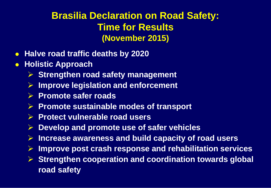#### **Brasilia Declaration on Road Safety: Time for Results (November 2015)**

- **Halve road traffic deaths by 2020**
- **Holistic Approach**
	- **▶ Strengthen road safety management**
	- **Improve legislation and enforcement**
	- **Promote safer roads**
	- **Promote sustainable modes of transport**
	- **Protect vulnerable road users**
	- **Develop and promote use of safer vehicles**
	- **Increase awareness and build capacity of road users**
	- **Improve post crash response and rehabilitation services**
	- **Strengthen cooperation and coordination towards global road safety**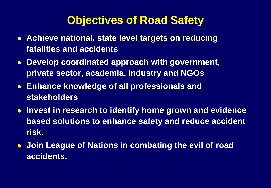## **Objectives of Road Safety**

- **Achieve national, state level targets on reducing fatalities and accidents**
- **Develop coordinated approach with government, private sector, academia, industry and NGOs**
- **Enhance knowledge of all professionals and stakeholders**
- **Invest in research to identify home grown and evidence based solutions to enhance safety and reduce accident risk.**
- **Join League of Nations in combating the evil of road accidents.**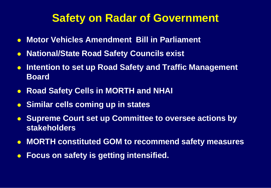### **Safety on Radar of Government**

- **Motor Vehicles Amendment Bill in Parliament**
- **National/State Road Safety Councils exist**
- **Intention to set up Road Safety and Traffic Management Board**
- **Road Safety Cells in MORTH and NHAI**
- **Similar cells coming up in states**
- **Supreme Court set up Committee to oversee actions by stakeholders**
- **MORTH constituted GOM to recommend safety measures**
- **Focus on safety is getting intensified.**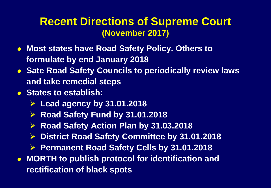#### **Recent Directions of Supreme Court (November 2017)**

- **Most states have Road Safety Policy. Others to formulate by end January 2018**
- **Sate Road Safety Councils to periodically review laws and take remedial steps**
- **States to establish:** 
	- **Lead agency by 31.01.2018**
	- **Road Safety Fund by 31.01.2018**
	- **▶ Road Safety Action Plan by 31.03.2018**
	- **District Road Safety Committee by 31.01.2018**
	- **Permanent Road Safety Cells by 31.01.2018**
- **MORTH to publish protocol for identification and rectification of black spots**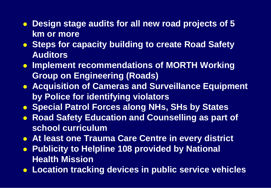- **Design stage audits for all new road projects of 5 km or more**
- **Steps for capacity building to create Road Safety Auditors**
- **Implement recommendations of MORTH Working Group on Engineering (Roads)**
- **Acquisition of Cameras and Surveillance Equipment by Police for identifying violators**
- **Special Patrol Forces along NHs, SHs by States**
- **Road Safety Education and Counselling as part of school curriculum**
- **At least one Trauma Care Centre in every district**
- **Publicity to Helpline 108 provided by National Health Mission**
- **Location tracking devices in public service vehicles**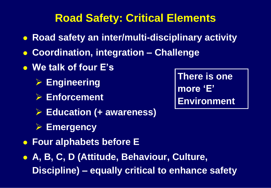# **Road Safety: Critical Elements**

- **Road safety an inter/multi-disciplinary activity**
- **Coordination, integration – Challenge**
- **We talk of four E's**
	- **Engineering**
	- **Enforcement**
	- **Education (+ awareness)**
	- **Emergency**
- **Four alphabets before E**
- **A, B, C, D (Attitude, Behaviour, Culture, Discipline) – equally critical to enhance safety**

**There is one more 'E' Environment**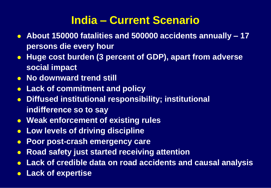# **India – Current Scenario**

- **About 150000 fatalities and 500000 accidents annually – 17 persons die every hour**
- **Huge cost burden (3 percent of GDP), apart from adverse social impact**
- **No downward trend still**
- **Lack of commitment and policy**
- **Diffused institutional responsibility; institutional indifference so to say**
- **Weak enforcement of existing rules**
- **Low levels of driving discipline**
- **Poor post-crash emergency care**
- **Road safety just started receiving attention**
- **Lack of credible data on road accidents and causal analysis**
- **Lack of expertise**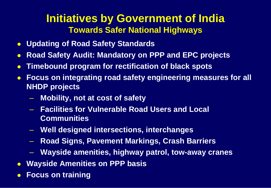#### **Initiatives by Government of India Towards Safer National Highways**

- **Updating of Road Safety Standards**
- **Road Safety Audit: Mandatory on PPP and EPC projects**
- **Timebound program for rectification of black spots**
- **Focus on integrating road safety engineering measures for all NHDP projects**
	- **Mobility, not at cost of safety**
	- **Facilities for Vulnerable Road Users and Local Communities**
	- **Well designed intersections, interchanges**
	- **Road Signs, Pavement Markings, Crash Barriers**
	- **Wayside amenities, highway patrol, tow-away cranes**
- **Wayside Amenities on PPP basis**
- **Focus on training**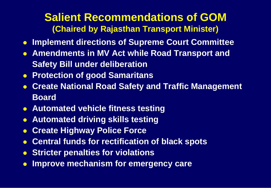#### **Salient Recommendations of GOM (Chaired by Rajasthan Transport Minister)**

- **Implement directions of Supreme Court Committee**
- **Amendments in MV Act while Road Transport and Safety Bill under deliberation**
- **Protection of good Samaritans**
- **Create National Road Safety and Traffic Management Board**
- **Automated vehicle fitness testing**
- **Automated driving skills testing**
- **Create Highway Police Force**
- **Central funds for rectification of black spots**
- **Stricter penalties for violations**
- **Improve mechanism for emergency care**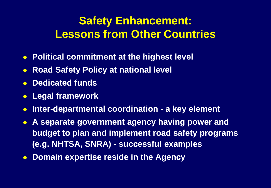## **Safety Enhancement: Lessons from Other Countries**

- **Political commitment at the highest level**
- **Road Safety Policy at national level**
- **Dedicated funds**
- **Legal framework**
- **Inter-departmental coordination - a key element**
- **A separate government agency having power and budget to plan and implement road safety programs (e.g. NHTSA, SNRA) - successful examples**
- **Domain expertise reside in the Agency**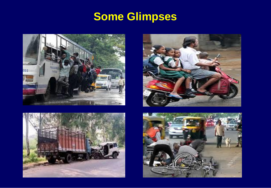# **Some Glimpses**







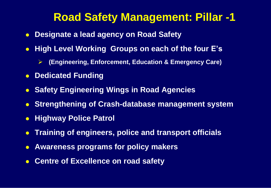### **Road Safety Management: Pillar -1**

- **Designate a lead agency on Road Safety**
- **High Level Working Groups on each of the four E's** 
	- **(Engineering, Enforcement, Education & Emergency Care)**
- **Dedicated Funding**
- **Safety Engineering Wings in Road Agencies**
- **Strengthening of Crash-database management system**
- **Highway Police Patrol**
- **Training of engineers, police and transport officials**
- **Awareness programs for policy makers**
- **Centre of Excellence on road safety**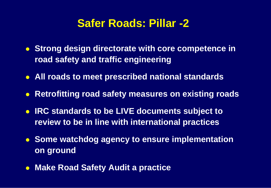#### **Safer Roads: Pillar -2**

- **Strong design directorate with core competence in road safety and traffic engineering**
- **All roads to meet prescribed national standards**
- **Retrofitting road safety measures on existing roads**
- **IRC standards to be LIVE documents subject to review to be in line with international practices**
- **Some watchdog agency to ensure implementation on ground**
- **Make Road Safety Audit a practice**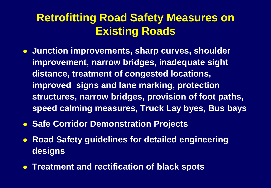## **Retrofitting Road Safety Measures on Existing Roads**

- **Junction improvements, sharp curves, shoulder improvement, narrow bridges, inadequate sight distance, treatment of congested locations, improved signs and lane marking, protection structures, narrow bridges, provision of foot paths, speed calming measures, Truck Lay byes, Bus bays**
- **Safe Corridor Demonstration Projects**
- **Road Safety guidelines for detailed engineering designs**
- **Treatment and rectification of black spots**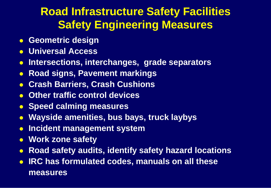## **Road Infrastructure Safety Facilities Safety Engineering Measures**

- **Geometric design**
- **Universal Access**
- **Intersections, interchanges, grade separators**
- **Road signs, Pavement markings**
- **Crash Barriers, Crash Cushions**
- **Other traffic control devices**
- **Speed calming measures**
- **Wayside amenities, bus bays, truck laybys**
- **Incident management system**
- **Work zone safety**
- **Road safety audits, identify safety hazard locations**
- **IRC has formulated codes, manuals on all these measures**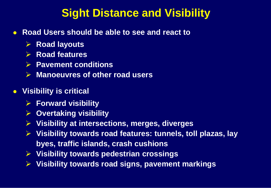### **Sight Distance and Visibility**

- **Road Users should be able to see and react to** 
	- **Road layouts**
	- **▶ Road features**
	- **Pavement conditions**
	- **Manoeuvres of other road users**
- **Visibility is critical** 
	- **Forward visibility**
	- **Overtaking visibility**
	- **Visibility at intersections, merges, diverges**
	- **Visibility towards road features: tunnels, toll plazas, lay byes, traffic islands, crash cushions**
	- **Visibility towards pedestrian crossings**
	- **Visibility towards road signs, pavement markings**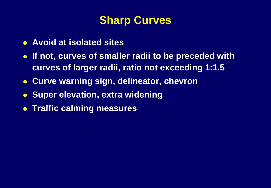### **Sharp Curves**

- **Avoid at isolated sites**
- **If not, curves of smaller radii to be preceded with curves of larger radii, ratio not exceeding 1:1.5**
- **Curve warning sign, delineator, chevron**
- **Super elevation, extra widening**
- **Traffic calming measures**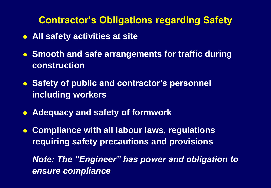#### **Contractor's Obligations regarding Safety**

- **All safety activities at site**
- **Smooth and safe arrangements for traffic during construction**
- **Safety of public and contractor's personnel including workers**
- **Adequacy and safety of formwork**
- **Compliance with all labour laws, regulations requiring safety precautions and provisions**

*Note: The "Engineer" has power and obligation to ensure compliance*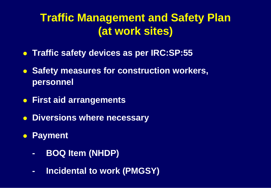## **Traffic Management and Safety Plan (at work sites)**

- **Traffic safety devices as per IRC:SP:55**
- **Safety measures for construction workers, personnel**
- **First aid arrangements**
- **Diversions where necessary**
- **Payment**
	- **- BOQ Item (NHDP)**
	- **- Incidental to work (PMGSY)**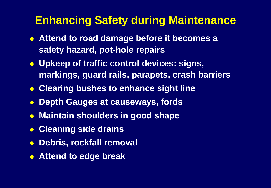### **Enhancing Safety during Maintenance**

- **Attend to road damage before it becomes a safety hazard, pot-hole repairs**
- **Upkeep of traffic control devices: signs, markings, guard rails, parapets, crash barriers**
- **Clearing bushes to enhance sight line**
- **Depth Gauges at causeways, fords**
- **Maintain shoulders in good shape**
- **Cleaning side drains**
- **Debris, rockfall removal**
- **Attend to edge break**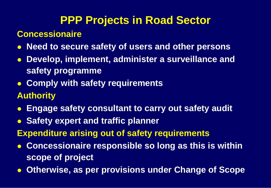## **PPP Projects in Road Sector**

#### **Concessionaire**

- **Need to secure safety of users and other persons**
- **Develop, implement, administer a surveillance and safety programme**
- **Comply with safety requirements**

#### **Authority**

- **Engage safety consultant to carry out safety audit**
- **Safety expert and traffic planner**
- **Expenditure arising out of safety requirements**
- **Concessionaire responsible so long as this is within scope of project**
- **Otherwise, as per provisions under Change of Scope**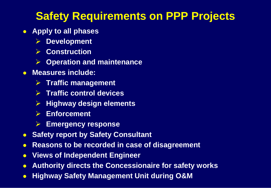## **Safety Requirements on PPP Projects**

- **Apply to all phases**
	- **Development**
	- **Construction**
	- **Operation and maintenance**
- **Measures include:** 
	- **Traffic management**
	- **Traffic control devices**
	- **Highway design elements**
	- **Enforcement**
	- **Emergency response**
- **Safety report by Safety Consultant**
- **Reasons to be recorded in case of disagreement**
- **Views of Independent Engineer**
- **Authority directs the Concessionaire for safety works**
- **Highway Safety Management Unit during O&M**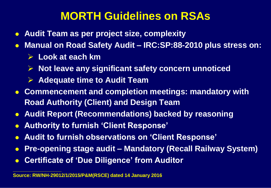## **MORTH Guidelines on RSAs**

- **Audit Team as per project size, complexity**
- **Manual on Road Safety Audit – IRC:SP:88-2010 plus stress on:**
	- **Look at each km**

**\_\_\_\_\_\_\_\_\_\_\_\_\_\_\_\_\_\_**

- **Not leave any significant safety concern unnoticed**
- **Adequate time to Audit Team**
- **Commencement and completion meetings: mandatory with Road Authority (Client) and Design Team**
- **Audit Report (Recommendations) backed by reasoning**
- **Authority to furnish 'Client Response'**
- **Audit to furnish observations on 'Client Response'**
- **Pre-opening stage audit – Mandatory (Recall Railway System)**
- **Certificate of 'Due Diligence' from Auditor**

**Source: RW/NH-29012/1/2015/P&M(RSCE) dated 14 January 2016**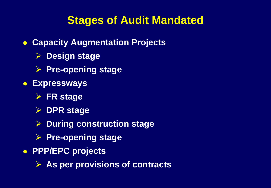## **Stages of Audit Mandated**

- **Capacity Augmentation Projects**
	- **Design stage**
	- **Pre-opening stage**
- **Expressways**
	- **FR stage**
	- **DPR stage**
	- **During construction stage**
	- **Pre-opening stage**
- **PPP/EPC projects**
	- **As per provisions of contracts**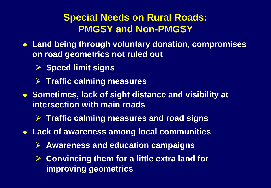#### **Special Needs on Rural Roads: PMGSY and Non-PMGSY**

- **Land being through voluntary donation, compromises on road geometrics not ruled out**
	- **Speed limit signs**
	- **Traffic calming measures**
- **Sometimes, lack of sight distance and visibility at intersection with main roads**
	- **Traffic calming measures and road signs**
- **Lack of awareness among local communities**
	- **Awareness and education campaigns**
	- **Convincing them for a little extra land for improving geometrics**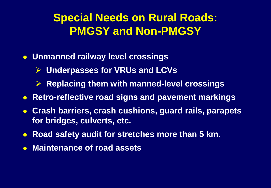## **Special Needs on Rural Roads: PMGSY and Non-PMGSY**

- **Unmanned railway level crossings**
	- **Underpasses for VRUs and LCVs**
	- **Replacing them with manned-level crossings**
- **Retro-reflective road signs and pavement markings**
- **Crash barriers, crash cushions, guard rails, parapets for bridges, culverts, etc.**
- **Road safety audit for stretches more than 5 km.**
- **Maintenance of road assets**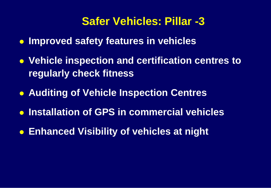### **Safer Vehicles: Pillar -3**

- **Improved safety features in vehicles**
- **Vehicle inspection and certification centres to regularly check fitness**
- **Auditing of Vehicle Inspection Centres**
- **Installation of GPS in commercial vehicles**
- **Enhanced Visibility of vehicles at night**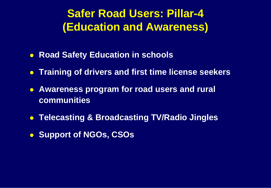## **Safer Road Users: Pillar-4 (Education and Awareness)**

- **Road Safety Education in schools**
- **Training of drivers and first time license seekers**
- **Awareness program for road users and rural communities**
- **Telecasting & Broadcasting TV/Radio Jingles**
- **Support of NGOs, CSOs**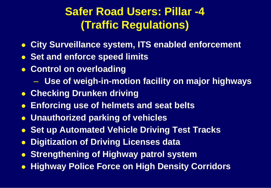# **Safer Road Users: Pillar -4 (Traffic Regulations)**

- **City Surveillance system, ITS enabled enforcement**
- **Set and enforce speed limits**
- **Control on overloading** 
	- **Use of weigh-in-motion facility on major highways**
- **Checking Drunken driving**
- **Enforcing use of helmets and seat belts**
- **Unauthorized parking of vehicles**
- **Set up Automated Vehicle Driving Test Tracks**
- **Digitization of Driving Licenses data**
- **Strengthening of Highway patrol system**
- **Highway Police Force on High Density Corridors**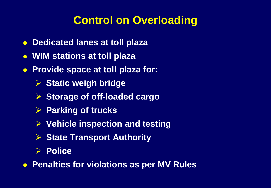## **Control on Overloading**

- **Dedicated lanes at toll plaza**
- **WIM stations at toll plaza**
- **Provide space at toll plaza for:**
	- **Static weigh bridge**
	- **Storage of off-loaded cargo**
	- **Parking of trucks**
	- **Vehicle inspection and testing**
	- **▶ State Transport Authority**
	- **Police**
- **Penalties for violations as per MV Rules**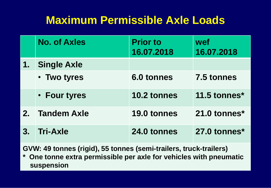## **Maximum Permissible Axle Loads**

|    | <b>No. of Axles</b> | <b>Prior to</b><br>16.07.2018 | wef<br>16.07.2018 |
|----|---------------------|-------------------------------|-------------------|
| 1. | <b>Single Axle</b>  |                               |                   |
|    | • Two tyres         | 6.0 tonnes                    | 7.5 tonnes        |
|    | • Four tyres        | 10.2 tonnes                   | 11.5 tonnes*      |
| 2. | <b>Tandem Axle</b>  | 19.0 tonnes                   | 21.0 tonnes*      |
| 3. | <b>Tri-Axle</b>     | 24.0 tonnes                   | 27.0 tonnes*      |

**GVW: 49 tonnes (rigid), 55 tonnes (semi-trailers, truck-trailers)**

**\* One tonne extra permissible per axle for vehicles with pneumatic suspension**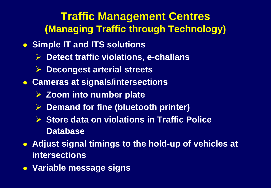### **Traffic Management Centres (Managing Traffic through Technology)**

- **Simple IT and ITS solutions** 
	- **Detect traffic violations, e-challans**
	- **Decongest arterial streets**
- **Cameras at signals/intersections**
	- **Zoom into number plate**
	- **Demand for fine (bluetooth printer)**
	- **Store data on violations in Traffic Police Database**
- **Adjust signal timings to the hold-up of vehicles at intersections**
- **Variable message signs**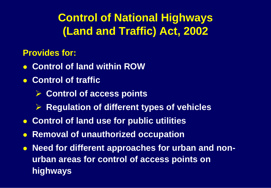**Control of National Highways (Land and Traffic) Act, 2002**

**Provides for:**

- **Control of land within ROW**
- **Control of traffic** 
	- **► Control of access points**
	- **EXA** Regulation of different types of vehicles
- **Control of land use for public utilities**
- **Removal of unauthorized occupation**
- **Need for different approaches for urban and nonurban areas for control of access points on highways**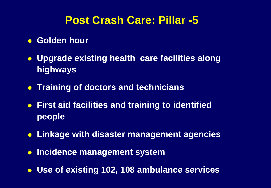### **Post Crash Care: Pillar -5**

- **Golden hour**
- **Upgrade existing health care facilities along highways**
- **Training of doctors and technicians**
- **First aid facilities and training to identified people**
- **Linkage with disaster management agencies**
- *Incidence management system*
- **Use of existing 102, 108 ambulance services**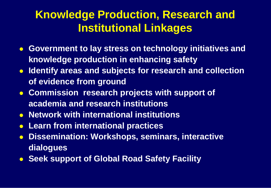# **Knowledge Production, Research and Institutional Linkages**

- **Government to lay stress on technology initiatives and knowledge production in enhancing safety**
- **IDENTIFY AREAS AND SUBJECTS for research and collection of evidence from ground**
- **Commission research projects with support of academia and research institutions**
- **Network with international institutions**
- **Learn from international practices**
- **Dissemination: Workshops, seminars, interactive dialogues**
- **Seek support of Global Road Safety Facility**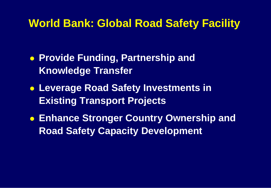#### **World Bank: Global Road Safety Facility**

- **Provide Funding, Partnership and Knowledge Transfer**
- **Leverage Road Safety Investments in Existing Transport Projects**
- **Enhance Stronger Country Ownership and Road Safety Capacity Development**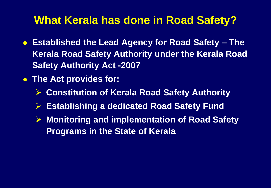### **What Kerala has done in Road Safety?**

- **Established the Lead Agency for Road Safety – The Kerala Road Safety Authority under the Kerala Road Safety Authority Act -2007**
- **The Act provides for:**
	- **Constitution of Kerala Road Safety Authority**
	- **Establishing a dedicated Road Safety Fund**
	- **Monitoring and implementation of Road Safety Programs in the State of Kerala**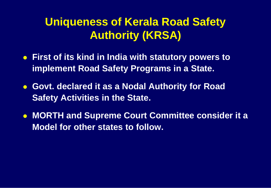## **Uniqueness of Kerala Road Safety Authority (KRSA)**

- **First of its kind in India with statutory powers to implement Road Safety Programs in a State.**
- **Govt. declared it as a Nodal Authority for Road Safety Activities in the State.**
- **MORTH and Supreme Court Committee consider it a Model for other states to follow.**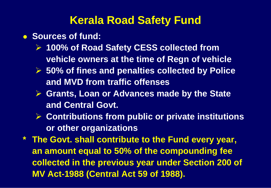### **Kerala Road Safety Fund**

- **Sources of fund:** 
	- **100% of Road Safety CESS collected from vehicle owners at the time of Regn of vehicle**
	- **50% of fines and penalties collected by Police and MVD from traffic offenses**
	- **Grants, Loan or Advances made by the State and Central Govt.**
	- **Contributions from public or private institutions or other organizations**
- **\* The Govt. shall contribute to the Fund every year, an amount equal to 50% of the compounding fee collected in the previous year under Section 200 of MV Act-1988 (Central Act 59 of 1988).**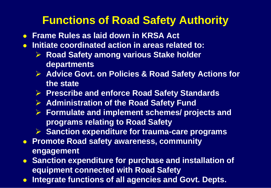## **Functions of Road Safety Authority**

- **Frame Rules as laid down in KRSA Act**
- **Initiate coordinated action in areas related to:**
	- **▶ Road Safety among various Stake holder departments**
	- **▶ Advice Govt. on Policies & Road Safety Actions for the state**
	- **Prescribe and enforce Road Safety Standards**
	- **Administration of the Road Safety Fund**
	- **Formulate and implement schemes/ projects and programs relating to Road Safety**
	- **Sanction expenditure for trauma-care programs**
- **Promote Road safety awareness, community engagement**
- **Sanction expenditure for purchase and installation of equipment connected with Road Safety**
- **Integrate functions of all agencies and Govt. Depts.**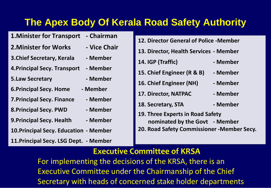#### **The Apex Body Of Kerala Road Safety Authority**

- **1.Minister for Transport - Chairman**
- **2.Minister for Works - Vice Chair**
- **3.Chief Secretary, Kerala - Member**
- **4.Principal Secy. Transport - Member**
- **5.Law Secretary - Member**
- **6.Principal Secy. Home - Member**
- **7.Principal Secy. Finance - Member**
- **8.Principal Secy. PWD - Member**
- **9. Principal Secy. Health Member**
- **10.Principal Secy. Education - Member**
- **11.Principal Secy. LSG Dept. - Member**
- **12. Director General of Police -Member**
- **13. Director, Health Services - Member**
- **14. IGP (Traffic) - Member**
- **15. Chief Engineer (R & B) - Member**
- **16. Chief Engineer (NH) - Member**
- **17. Director, NATPAC - Member**
- **18. Secretary, STA - Member**
- **19. Three Experts in Road Safety nominated by the Govt - Member**
- **20. Road Safety Commissioner -Member Secy.**

#### **Executive Committee of KRSA**

For implementing the decisions of the KRSA, there is an Executive Committee under the Chairmanship of the Chief Secretary with heads of concerned stake holder departments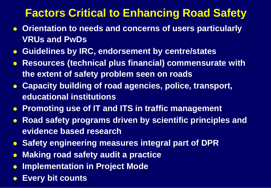## **Factors Critical to Enhancing Road Safety**

- **Orientation to needs and concerns of users particularly VRUs and PwDs**
- **Guidelines by IRC, endorsement by centre/states**
- **Resources (technical plus financial) commensurate with the extent of safety problem seen on roads**
- **Capacity building of road agencies, police, transport, educational institutions**
- **Promoting use of IT and ITS in traffic management**
- **Road safety programs driven by scientific principles and evidence based research**
- **Safety engineering measures integral part of DPR**
- **Making road safety audit a practice**
- **Implementation in Project Mode**
- **Every bit counts**